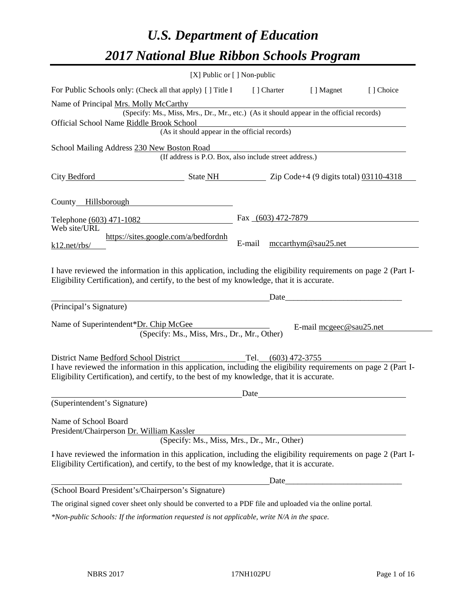# *U.S. Department of Education 2017 National Blue Ribbon Schools Program*

|                                                                                                                                                                                                              | [X] Public or [] Non-public                                                              |        |                     |                         |           |
|--------------------------------------------------------------------------------------------------------------------------------------------------------------------------------------------------------------|------------------------------------------------------------------------------------------|--------|---------------------|-------------------------|-----------|
| For Public Schools only: (Check all that apply) [ ] Title I                                                                                                                                                  |                                                                                          |        | [ ] Charter         | [ ] Magnet              | [] Choice |
| Name of Principal Mrs. Molly McCarthy                                                                                                                                                                        |                                                                                          |        |                     |                         |           |
|                                                                                                                                                                                                              | (Specify: Ms., Miss, Mrs., Dr., Mr., etc.) (As it should appear in the official records) |        |                     |                         |           |
| Official School Name Riddle Brook School                                                                                                                                                                     |                                                                                          |        |                     |                         |           |
|                                                                                                                                                                                                              | (As it should appear in the official records)                                            |        |                     |                         |           |
| School Mailing Address 230 New Boston Road                                                                                                                                                                   |                                                                                          |        |                     |                         |           |
|                                                                                                                                                                                                              | (If address is P.O. Box, also include street address.)                                   |        |                     |                         |           |
| City Bedford                                                                                                                                                                                                 | $\frac{1}{2}$ State NH $\frac{1}{2}$ Zip Code+4 (9 digits total) 03110-4318              |        |                     |                         |           |
| County Hillsborough                                                                                                                                                                                          |                                                                                          |        |                     |                         |           |
| Telephone (603) 471-1082                                                                                                                                                                                     |                                                                                          |        | Fax (603) 472-7879  |                         |           |
| Web site/URL                                                                                                                                                                                                 |                                                                                          |        |                     |                         |           |
| k12.net/rbs/                                                                                                                                                                                                 | https://sites.google.com/a/bedfordnh                                                     | E-mail |                     | mccarthym@sau25.net     |           |
| I have reviewed the information in this application, including the eligibility requirements on page 2 (Part I-<br>Eligibility Certification), and certify, to the best of my knowledge, that it is accurate. |                                                                                          |        |                     |                         |           |
| (Principal's Signature)                                                                                                                                                                                      |                                                                                          |        |                     |                         |           |
|                                                                                                                                                                                                              |                                                                                          |        |                     |                         |           |
| Name of Superintendent*Dr. Chip McGee                                                                                                                                                                        |                                                                                          |        |                     | E-mail mcgeec@sau25.net |           |
|                                                                                                                                                                                                              | (Specify: Ms., Miss, Mrs., Dr., Mr., Other)                                              |        |                     |                         |           |
|                                                                                                                                                                                                              |                                                                                          |        | Tel. (603) 472-3755 |                         |           |
| District Name Bedford School District<br>I have reviewed the information in this application, including the eligibility requirements on page 2 (Part I-                                                      |                                                                                          |        |                     |                         |           |
| Eligibility Certification), and certify, to the best of my knowledge, that it is accurate.                                                                                                                   |                                                                                          |        |                     |                         |           |
|                                                                                                                                                                                                              |                                                                                          | Date   |                     |                         |           |
| (Superintendent's Signature)                                                                                                                                                                                 |                                                                                          |        |                     |                         |           |
| Name of School Board<br>President/Chairperson Dr. William Kassler                                                                                                                                            |                                                                                          |        |                     |                         |           |
|                                                                                                                                                                                                              | (Specify: Ms., Miss, Mrs., Dr., Mr., Other)                                              |        |                     |                         |           |
| I have reviewed the information in this application, including the eligibility requirements on page 2 (Part I-<br>Eligibility Certification), and certify, to the best of my knowledge, that it is accurate. |                                                                                          |        |                     |                         |           |
|                                                                                                                                                                                                              |                                                                                          |        |                     |                         |           |
| (School Board President's/Chairperson's Signature)                                                                                                                                                           |                                                                                          |        |                     |                         |           |
| The original signed cover sheet only should be converted to a PDF file and uploaded via the online portal.                                                                                                   |                                                                                          |        |                     |                         |           |

*\*Non-public Schools: If the information requested is not applicable, write N/A in the space.*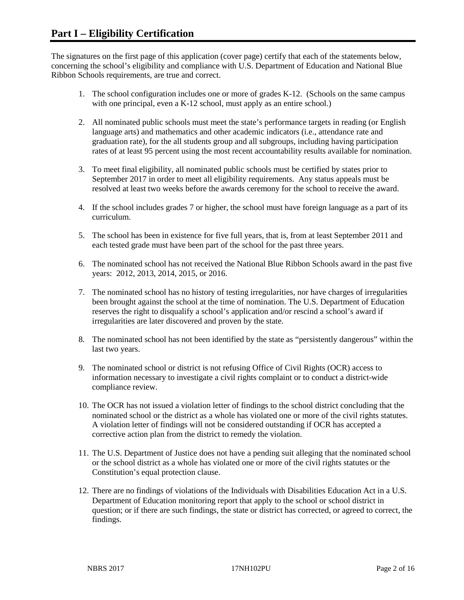The signatures on the first page of this application (cover page) certify that each of the statements below, concerning the school's eligibility and compliance with U.S. Department of Education and National Blue Ribbon Schools requirements, are true and correct.

- 1. The school configuration includes one or more of grades K-12. (Schools on the same campus with one principal, even a K-12 school, must apply as an entire school.)
- 2. All nominated public schools must meet the state's performance targets in reading (or English language arts) and mathematics and other academic indicators (i.e., attendance rate and graduation rate), for the all students group and all subgroups, including having participation rates of at least 95 percent using the most recent accountability results available for nomination.
- 3. To meet final eligibility, all nominated public schools must be certified by states prior to September 2017 in order to meet all eligibility requirements. Any status appeals must be resolved at least two weeks before the awards ceremony for the school to receive the award.
- 4. If the school includes grades 7 or higher, the school must have foreign language as a part of its curriculum.
- 5. The school has been in existence for five full years, that is, from at least September 2011 and each tested grade must have been part of the school for the past three years.
- 6. The nominated school has not received the National Blue Ribbon Schools award in the past five years: 2012, 2013, 2014, 2015, or 2016.
- 7. The nominated school has no history of testing irregularities, nor have charges of irregularities been brought against the school at the time of nomination. The U.S. Department of Education reserves the right to disqualify a school's application and/or rescind a school's award if irregularities are later discovered and proven by the state.
- 8. The nominated school has not been identified by the state as "persistently dangerous" within the last two years.
- 9. The nominated school or district is not refusing Office of Civil Rights (OCR) access to information necessary to investigate a civil rights complaint or to conduct a district-wide compliance review.
- 10. The OCR has not issued a violation letter of findings to the school district concluding that the nominated school or the district as a whole has violated one or more of the civil rights statutes. A violation letter of findings will not be considered outstanding if OCR has accepted a corrective action plan from the district to remedy the violation.
- 11. The U.S. Department of Justice does not have a pending suit alleging that the nominated school or the school district as a whole has violated one or more of the civil rights statutes or the Constitution's equal protection clause.
- 12. There are no findings of violations of the Individuals with Disabilities Education Act in a U.S. Department of Education monitoring report that apply to the school or school district in question; or if there are such findings, the state or district has corrected, or agreed to correct, the findings.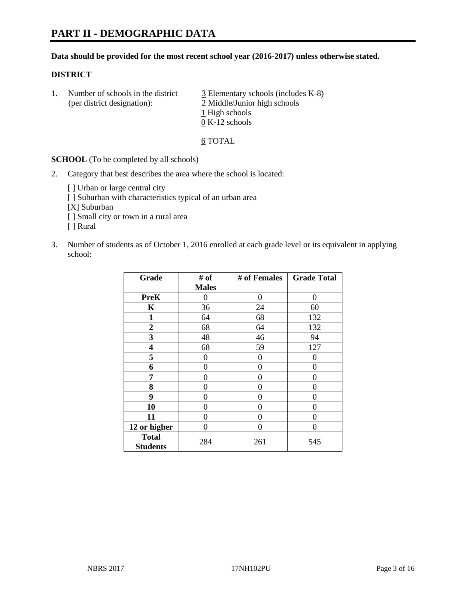#### **Data should be provided for the most recent school year (2016-2017) unless otherwise stated.**

#### **DISTRICT**

1. Number of schools in the district  $\frac{3}{2}$  Elementary schools (includes K-8) (per district designation): 2 Middle/Junior high schools 1 High schools 0 K-12 schools

#### 6 TOTAL

**SCHOOL** (To be completed by all schools)

- 2. Category that best describes the area where the school is located:
	- [] Urban or large central city [ ] Suburban with characteristics typical of an urban area [X] Suburban [ ] Small city or town in a rural area [ ] Rural
- 3. Number of students as of October 1, 2016 enrolled at each grade level or its equivalent in applying school:

| Grade                           | # of         | # of Females | <b>Grade Total</b> |
|---------------------------------|--------------|--------------|--------------------|
|                                 | <b>Males</b> |              |                    |
| <b>PreK</b>                     | 0            | 0            | 0                  |
| K                               | 36           | 24           | 60                 |
| $\mathbf{1}$                    | 64           | 68           | 132                |
| $\overline{2}$                  | 68           | 64           | 132                |
| 3                               | 48           | 46           | 94                 |
| 4                               | 68           | 59           | 127                |
| 5                               | 0            | 0            | 0                  |
| 6                               | 0            | $\theta$     | 0                  |
| 7                               | 0            | $\Omega$     | 0                  |
| 8                               | $\theta$     | $\theta$     | 0                  |
| 9                               | 0            | 0            | 0                  |
| 10                              | $\theta$     | 0            | 0                  |
| 11                              | 0            | 0            | 0                  |
| 12 or higher                    | 0            | 0            | 0                  |
| <b>Total</b><br><b>Students</b> | 284          | 261          | 545                |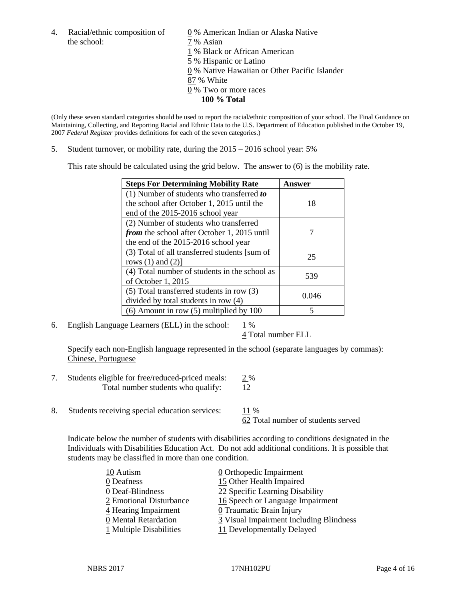4. Racial/ethnic composition of  $\qquad \qquad \underline{0}$  % American Indian or Alaska Native the school:  $7\%$  Asian

 % Black or African American % Hispanic or Latino % Native Hawaiian or Other Pacific Islander 87 % White % Two or more races **100 % Total**

(Only these seven standard categories should be used to report the racial/ethnic composition of your school. The Final Guidance on Maintaining, Collecting, and Reporting Racial and Ethnic Data to the U.S. Department of Education published in the October 19, 2007 *Federal Register* provides definitions for each of the seven categories.)

5. Student turnover, or mobility rate, during the 2015 – 2016 school year: 5%

This rate should be calculated using the grid below. The answer to (6) is the mobility rate.

| <b>Steps For Determining Mobility Rate</b>    | Answer |  |
|-----------------------------------------------|--------|--|
| (1) Number of students who transferred to     |        |  |
| the school after October 1, 2015 until the    | 18     |  |
| end of the 2015-2016 school year              |        |  |
| (2) Number of students who transferred        |        |  |
| from the school after October 1, 2015 until   |        |  |
| the end of the 2015-2016 school year          |        |  |
| (3) Total of all transferred students [sum of | 25     |  |
| rows $(1)$ and $(2)$ ]                        |        |  |
| (4) Total number of students in the school as | 539    |  |
| of October 1, 2015                            |        |  |
| (5) Total transferred students in row (3)     |        |  |
| divided by total students in row (4)          | 0.046  |  |
| $(6)$ Amount in row $(5)$ multiplied by 100   | 5      |  |

6. English Language Learners (ELL) in the school:  $1\%$ 

4 Total number ELL

Specify each non-English language represented in the school (separate languages by commas): Chinese, Portuguese

- 7. Students eligible for free/reduced-priced meals:  $2\%$ Total number students who qualify: 12
- 8. Students receiving special education services: 11 %

62 Total number of students served

Indicate below the number of students with disabilities according to conditions designated in the Individuals with Disabilities Education Act. Do not add additional conditions. It is possible that students may be classified in more than one condition.

| 10 Autism               | $\underline{0}$ Orthopedic Impairment   |
|-------------------------|-----------------------------------------|
| 0 Deafness              | 15 Other Health Impaired                |
| 0 Deaf-Blindness        | 22 Specific Learning Disability         |
| 2 Emotional Disturbance | 16 Speech or Language Impairment        |
| 4 Hearing Impairment    | 0 Traumatic Brain Injury                |
| 0 Mental Retardation    | 3 Visual Impairment Including Blindness |
| 1 Multiple Disabilities | 11 Developmentally Delayed              |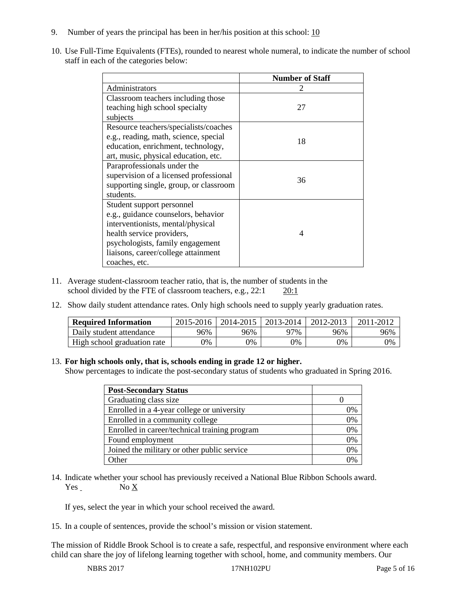- 9. Number of years the principal has been in her/his position at this school:  $\frac{10}{10}$
- 10. Use Full-Time Equivalents (FTEs), rounded to nearest whole numeral, to indicate the number of school staff in each of the categories below:

|                                        | <b>Number of Staff</b>   |  |  |
|----------------------------------------|--------------------------|--|--|
| Administrators                         |                          |  |  |
| Classroom teachers including those     |                          |  |  |
| teaching high school specialty         | 27                       |  |  |
| subjects                               |                          |  |  |
| Resource teachers/specialists/coaches  |                          |  |  |
| e.g., reading, math, science, special  | 18                       |  |  |
| education, enrichment, technology,     |                          |  |  |
| art, music, physical education, etc.   |                          |  |  |
| Paraprofessionals under the            |                          |  |  |
| supervision of a licensed professional | 36                       |  |  |
| supporting single, group, or classroom |                          |  |  |
| students.                              |                          |  |  |
| Student support personnel              |                          |  |  |
| e.g., guidance counselors, behavior    |                          |  |  |
| interventionists, mental/physical      |                          |  |  |
| health service providers,              | $\boldsymbol{\varDelta}$ |  |  |
| psychologists, family engagement       |                          |  |  |
| liaisons, career/college attainment    |                          |  |  |
| coaches, etc.                          |                          |  |  |

- 11. Average student-classroom teacher ratio, that is, the number of students in the school divided by the FTE of classroom teachers, e.g., 22:1 20:1
- 12. Show daily student attendance rates. Only high schools need to supply yearly graduation rates.

| <b>Required Information</b> | 2015-2016 | 2014-2015 | 2013-2014 | 2012-2013 |     |
|-----------------------------|-----------|-----------|-----------|-----------|-----|
| Daily student attendance    | 96%       | 96%       | 97%       | 96%       | 96% |
| High school graduation rate | 0%        | 0%        | 0%        | 9%        | 0%  |

#### 13. **For high schools only, that is, schools ending in grade 12 or higher.**

Show percentages to indicate the post-secondary status of students who graduated in Spring 2016.

| <b>Post-Secondary Status</b>                  |                |
|-----------------------------------------------|----------------|
| Graduating class size                         |                |
| Enrolled in a 4-year college or university    | 0%             |
| Enrolled in a community college               | 0%             |
| Enrolled in career/technical training program | 0%             |
| Found employment                              | 0%             |
| Joined the military or other public service   | 0%             |
| )ther                                         | $\frac{10}{6}$ |

14. Indicate whether your school has previously received a National Blue Ribbon Schools award. Yes No X

If yes, select the year in which your school received the award.

15. In a couple of sentences, provide the school's mission or vision statement.

The mission of Riddle Brook School is to create a safe, respectful, and responsive environment where each child can share the joy of lifelong learning together with school, home, and community members. Our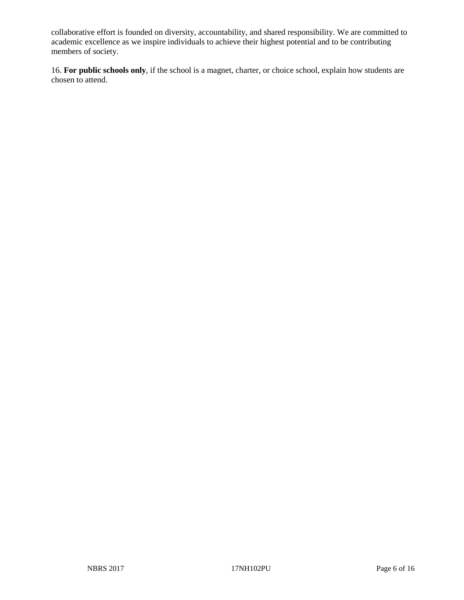collaborative effort is founded on diversity, accountability, and shared responsibility. We are committed to academic excellence as we inspire individuals to achieve their highest potential and to be contributing members of society.

16. **For public schools only**, if the school is a magnet, charter, or choice school, explain how students are chosen to attend.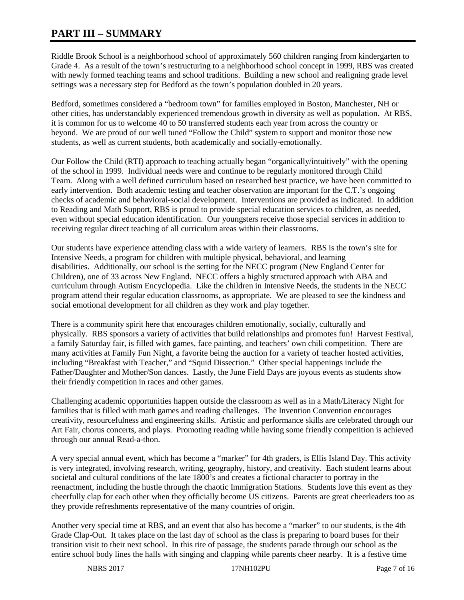# **PART III – SUMMARY**

Riddle Brook School is a neighborhood school of approximately 560 children ranging from kindergarten to Grade 4. As a result of the town's restructuring to a neighborhood school concept in 1999, RBS was created with newly formed teaching teams and school traditions. Building a new school and realigning grade level settings was a necessary step for Bedford as the town's population doubled in 20 years.

Bedford, sometimes considered a "bedroom town" for families employed in Boston, Manchester, NH or other cities, has understandably experienced tremendous growth in diversity as well as population. At RBS, it is common for us to welcome 40 to 50 transferred students each year from across the country or beyond. We are proud of our well tuned "Follow the Child" system to support and monitor those new students, as well as current students, both academically and socially-emotionally.

Our Follow the Child (RTI) approach to teaching actually began "organically/intuitively" with the opening of the school in 1999. Individual needs were and continue to be regularly monitored through Child Team. Along with a well defined curriculum based on researched best practice, we have been committed to early intervention. Both academic testing and teacher observation are important for the C.T.'s ongoing checks of academic and behavioral-social development. Interventions are provided as indicated. In addition to Reading and Math Support, RBS is proud to provide special education services to children, as needed, even without special education identification. Our youngsters receive those special services in addition to receiving regular direct teaching of all curriculum areas within their classrooms.

Our students have experience attending class with a wide variety of learners. RBS is the town's site for Intensive Needs, a program for children with multiple physical, behavioral, and learning disabilities. Additionally, our school is the setting for the NECC program (New England Center for Children), one of 33 across New England. NECC offers a highly structured approach with ABA and curriculum through Autism Encyclopedia. Like the children in Intensive Needs, the students in the NECC program attend their regular education classrooms, as appropriate. We are pleased to see the kindness and social emotional development for all children as they work and play together.

There is a community spirit here that encourages children emotionally, socially, culturally and physically. RBS sponsors a variety of activities that build relationships and promotes fun! Harvest Festival, a family Saturday fair, is filled with games, face painting, and teachers' own chili competition. There are many activities at Family Fun Night, a favorite being the auction for a variety of teacher hosted activities, including "Breakfast with Teacher," and "Squid Dissection." Other special happenings include the Father/Daughter and Mother/Son dances. Lastly, the June Field Days are joyous events as students show their friendly competition in races and other games.

Challenging academic opportunities happen outside the classroom as well as in a Math/Literacy Night for families that is filled with math games and reading challenges. The Invention Convention encourages creativity, resourcefulness and engineering skills. Artistic and performance skills are celebrated through our Art Fair, chorus concerts, and plays. Promoting reading while having some friendly competition is achieved through our annual Read-a-thon.

A very special annual event, which has become a "marker" for 4th graders, is Ellis Island Day. This activity is very integrated, involving research, writing, geography, history, and creativity. Each student learns about societal and cultural conditions of the late 1800's and creates a fictional character to portray in the reenactment, including the hustle through the chaotic Immigration Stations. Students love this event as they cheerfully clap for each other when they officially become US citizens. Parents are great cheerleaders too as they provide refreshments representative of the many countries of origin.

Another very special time at RBS, and an event that also has become a "marker" to our students, is the 4th Grade Clap-Out. It takes place on the last day of school as the class is preparing to board buses for their transition visit to their next school. In this rite of passage, the students parade through our school as the entire school body lines the halls with singing and clapping while parents cheer nearby. It is a festive time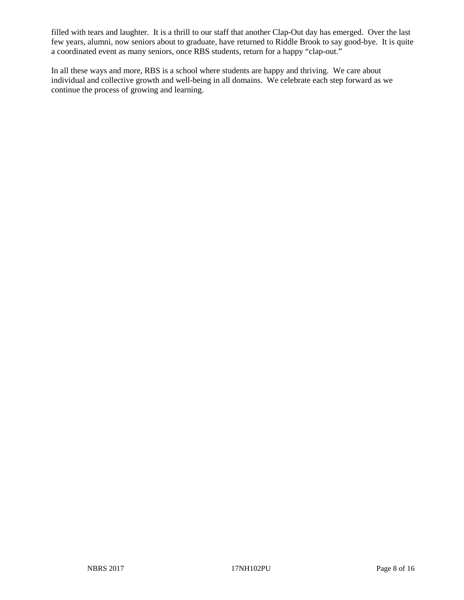filled with tears and laughter. It is a thrill to our staff that another Clap-Out day has emerged. Over the last few years, alumni, now seniors about to graduate, have returned to Riddle Brook to say good-bye. It is quite a coordinated event as many seniors, once RBS students, return for a happy "clap-out."

In all these ways and more, RBS is a school where students are happy and thriving. We care about individual and collective growth and well-being in all domains. We celebrate each step forward as we continue the process of growing and learning.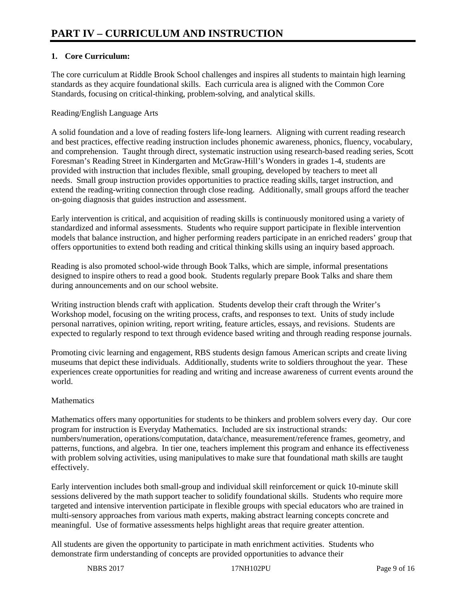# **1. Core Curriculum:**

The core curriculum at Riddle Brook School challenges and inspires all students to maintain high learning standards as they acquire foundational skills. Each curricula area is aligned with the Common Core Standards, focusing on critical-thinking, problem-solving, and analytical skills.

#### Reading/English Language Arts

A solid foundation and a love of reading fosters life-long learners. Aligning with current reading research and best practices, effective reading instruction includes phonemic awareness, phonics, fluency, vocabulary, and comprehension. Taught through direct, systematic instruction using research-based reading series, Scott Foresman's Reading Street in Kindergarten and McGraw-Hill's Wonders in grades 1-4, students are provided with instruction that includes flexible, small grouping, developed by teachers to meet all needs. Small group instruction provides opportunities to practice reading skills, target instruction, and extend the reading-writing connection through close reading. Additionally, small groups afford the teacher on-going diagnosis that guides instruction and assessment.

Early intervention is critical, and acquisition of reading skills is continuously monitored using a variety of standardized and informal assessments. Students who require support participate in flexible intervention models that balance instruction, and higher performing readers participate in an enriched readers' group that offers opportunities to extend both reading and critical thinking skills using an inquiry based approach.

Reading is also promoted school-wide through Book Talks, which are simple, informal presentations designed to inspire others to read a good book. Students regularly prepare Book Talks and share them during announcements and on our school website.

Writing instruction blends craft with application. Students develop their craft through the Writer's Workshop model, focusing on the writing process, crafts, and responses to text. Units of study include personal narratives, opinion writing, report writing, feature articles, essays, and revisions. Students are expected to regularly respond to text through evidence based writing and through reading response journals.

Promoting civic learning and engagement, RBS students design famous American scripts and create living museums that depict these individuals. Additionally, students write to soldiers throughout the year. These experiences create opportunities for reading and writing and increase awareness of current events around the world.

## **Mathematics**

Mathematics offers many opportunities for students to be thinkers and problem solvers every day. Our core program for instruction is Everyday Mathematics. Included are six instructional strands: numbers/numeration, operations/computation, data/chance, measurement/reference frames, geometry, and patterns, functions, and algebra. In tier one, teachers implement this program and enhance its effectiveness with problem solving activities, using manipulatives to make sure that foundational math skills are taught effectively.

Early intervention includes both small-group and individual skill reinforcement or quick 10-minute skill sessions delivered by the math support teacher to solidify foundational skills. Students who require more targeted and intensive intervention participate in flexible groups with special educators who are trained in multi-sensory approaches from various math experts, making abstract learning concepts concrete and meaningful. Use of formative assessments helps highlight areas that require greater attention.

All students are given the opportunity to participate in math enrichment activities. Students who demonstrate firm understanding of concepts are provided opportunities to advance their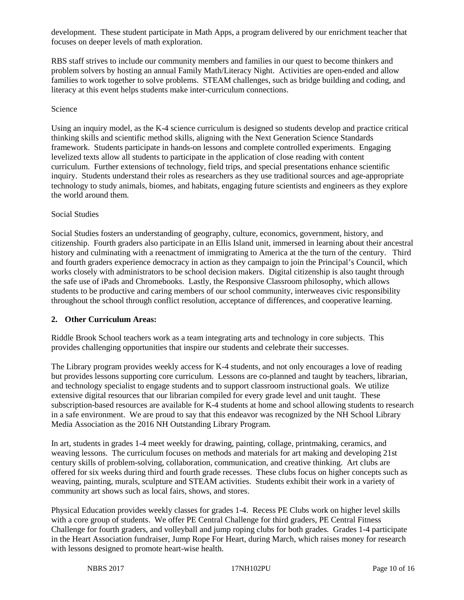development. These student participate in Math Apps, a program delivered by our enrichment teacher that focuses on deeper levels of math exploration.

RBS staff strives to include our community members and families in our quest to become thinkers and problem solvers by hosting an annual Family Math/Literacy Night. Activities are open-ended and allow families to work together to solve problems. STEAM challenges, such as bridge building and coding, and literacy at this event helps students make inter-curriculum connections.

#### Science

Using an inquiry model, as the K-4 science curriculum is designed so students develop and practice critical thinking skills and scientific method skills, aligning with the Next Generation Science Standards framework. Students participate in hands-on lessons and complete controlled experiments. Engaging levelized texts allow all students to participate in the application of close reading with content curriculum. Further extensions of technology, field trips, and special presentations enhance scientific inquiry. Students understand their roles as researchers as they use traditional sources and age-appropriate technology to study animals, biomes, and habitats, engaging future scientists and engineers as they explore the world around them.

#### Social Studies

Social Studies fosters an understanding of geography, culture, economics, government, history, and citizenship. Fourth graders also participate in an Ellis Island unit, immersed in learning about their ancestral history and culminating with a reenactment of immigrating to America at the the turn of the century. Third and fourth graders experience democracy in action as they campaign to join the Principal's Council, which works closely with administrators to be school decision makers. Digital citizenship is also taught through the safe use of iPads and Chromebooks. Lastly, the Responsive Classroom philosophy, which allows students to be productive and caring members of our school community, interweaves civic responsibility throughout the school through conflict resolution, acceptance of differences, and cooperative learning.

#### **2. Other Curriculum Areas:**

Riddle Brook School teachers work as a team integrating arts and technology in core subjects. This provides challenging opportunities that inspire our students and celebrate their successes.

The Library program provides weekly access for K-4 students, and not only encourages a love of reading but provides lessons supporting core curriculum. Lessons are co-planned and taught by teachers, librarian, and technology specialist to engage students and to support classroom instructional goals. We utilize extensive digital resources that our librarian compiled for every grade level and unit taught. These subscription-based resources are available for K-4 students at home and school allowing students to research in a safe environment. We are proud to say that this endeavor was recognized by the NH School Library Media Association as the 2016 NH Outstanding Library Program.

In art, students in grades 1-4 meet weekly for drawing, painting, collage, printmaking, ceramics, and weaving lessons. The curriculum focuses on methods and materials for art making and developing 21st century skills of problem-solving, collaboration, communication, and creative thinking. Art clubs are offered for six weeks during third and fourth grade recesses. These clubs focus on higher concepts such as weaving, painting, murals, sculpture and STEAM activities. Students exhibit their work in a variety of community art shows such as local fairs, shows, and stores.

Physical Education provides weekly classes for grades 1-4. Recess PE Clubs work on higher level skills with a core group of students. We offer PE Central Challenge for third graders, PE Central Fitness Challenge for fourth graders, and volleyball and jump roping clubs for both grades. Grades 1-4 participate in the Heart Association fundraiser, Jump Rope For Heart, during March, which raises money for research with lessons designed to promote heart-wise health.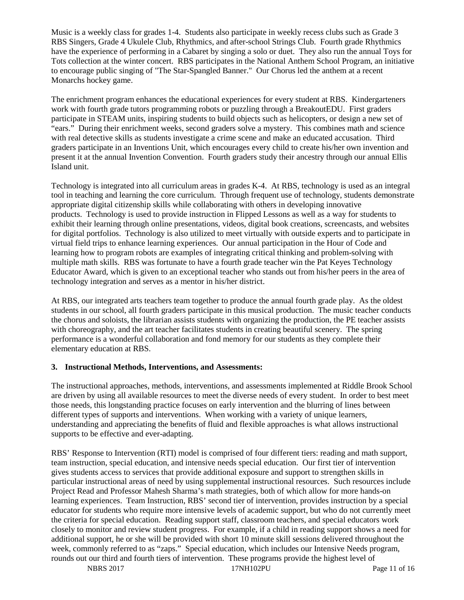Music is a weekly class for grades 1-4. Students also participate in weekly recess clubs such as Grade 3 RBS Singers, Grade 4 Ukulele Club, Rhythmics, and after-school Strings Club. Fourth grade Rhythmics have the experience of performing in a Cabaret by singing a solo or duet. They also run the annual Toys for Tots collection at the winter concert. RBS participates in the National Anthem School Program, an initiative to encourage public singing of "The Star-Spangled Banner." Our Chorus led the anthem at a recent Monarchs hockey game.

The enrichment program enhances the educational experiences for every student at RBS. Kindergarteners work with fourth grade tutors programming robots or puzzling through a BreakoutEDU. First graders participate in STEAM units, inspiring students to build objects such as helicopters, or design a new set of "ears." During their enrichment weeks, second graders solve a mystery. This combines math and science with real detective skills as students investigate a crime scene and make an educated accusation. Third graders participate in an Inventions Unit, which encourages every child to create his/her own invention and present it at the annual Invention Convention. Fourth graders study their ancestry through our annual Ellis Island unit.

Technology is integrated into all curriculum areas in grades K-4. At RBS, technology is used as an integral tool in teaching and learning the core curriculum. Through frequent use of technology, students demonstrate appropriate digital citizenship skills while collaborating with others in developing innovative products. Technology is used to provide instruction in Flipped Lessons as well as a way for students to exhibit their learning through online presentations, videos, digital book creations, screencasts, and websites for digital portfolios. Technology is also utilized to meet virtually with outside experts and to participate in virtual field trips to enhance learning experiences. Our annual participation in the Hour of Code and learning how to program robots are examples of integrating critical thinking and problem-solving with multiple math skills. RBS was fortunate to have a fourth grade teacher win the Pat Keyes Technology Educator Award, which is given to an exceptional teacher who stands out from his/her peers in the area of technology integration and serves as a mentor in his/her district.

At RBS, our integrated arts teachers team together to produce the annual fourth grade play. As the oldest students in our school, all fourth graders participate in this musical production. The music teacher conducts the chorus and soloists, the librarian assists students with organizing the production, the PE teacher assists with choreography, and the art teacher facilitates students in creating beautiful scenery. The spring performance is a wonderful collaboration and fond memory for our students as they complete their elementary education at RBS.

#### **3. Instructional Methods, Interventions, and Assessments:**

The instructional approaches, methods, interventions, and assessments implemented at Riddle Brook School are driven by using all available resources to meet the diverse needs of every student. In order to best meet those needs, this longstanding practice focuses on early intervention and the blurring of lines between different types of supports and interventions. When working with a variety of unique learners, understanding and appreciating the benefits of fluid and flexible approaches is what allows instructional supports to be effective and ever-adapting.

RBS' Response to Intervention (RTI) model is comprised of four different tiers: reading and math support, team instruction, special education, and intensive needs special education. Our first tier of intervention gives students access to services that provide additional exposure and support to strengthen skills in particular instructional areas of need by using supplemental instructional resources. Such resources include Project Read and Professor Mahesh Sharma's math strategies, both of which allow for more hands-on learning experiences. Team Instruction, RBS' second tier of intervention, provides instruction by a special educator for students who require more intensive levels of academic support, but who do not currently meet the criteria for special education. Reading support staff, classroom teachers, and special educators work closely to monitor and review student progress. For example, if a child in reading support shows a need for additional support, he or she will be provided with short 10 minute skill sessions delivered throughout the week, commonly referred to as "zaps." Special education, which includes our Intensive Needs program, rounds out our third and fourth tiers of intervention. These programs provide the highest level of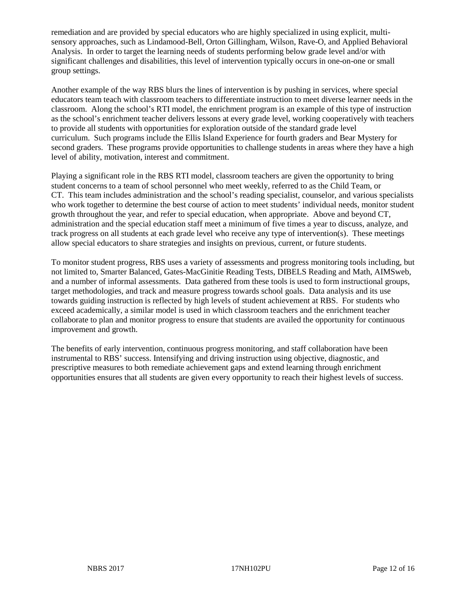remediation and are provided by special educators who are highly specialized in using explicit, multisensory approaches, such as Lindamood-Bell, Orton Gillingham, Wilson, Rave-O, and Applied Behavioral Analysis. In order to target the learning needs of students performing below grade level and/or with significant challenges and disabilities, this level of intervention typically occurs in one-on-one or small group settings.

Another example of the way RBS blurs the lines of intervention is by pushing in services, where special educators team teach with classroom teachers to differentiate instruction to meet diverse learner needs in the classroom. Along the school's RTI model, the enrichment program is an example of this type of instruction as the school's enrichment teacher delivers lessons at every grade level, working cooperatively with teachers to provide all students with opportunities for exploration outside of the standard grade level curriculum. Such programs include the Ellis Island Experience for fourth graders and Bear Mystery for second graders. These programs provide opportunities to challenge students in areas where they have a high level of ability, motivation, interest and commitment.

Playing a significant role in the RBS RTI model, classroom teachers are given the opportunity to bring student concerns to a team of school personnel who meet weekly, referred to as the Child Team, or CT. This team includes administration and the school's reading specialist, counselor, and various specialists who work together to determine the best course of action to meet students' individual needs, monitor student growth throughout the year, and refer to special education, when appropriate. Above and beyond CT, administration and the special education staff meet a minimum of five times a year to discuss, analyze, and track progress on all students at each grade level who receive any type of intervention(s). These meetings allow special educators to share strategies and insights on previous, current, or future students.

To monitor student progress, RBS uses a variety of assessments and progress monitoring tools including, but not limited to, Smarter Balanced, Gates-MacGinitie Reading Tests, DIBELS Reading and Math, AIMSweb, and a number of informal assessments. Data gathered from these tools is used to form instructional groups, target methodologies, and track and measure progress towards school goals. Data analysis and its use towards guiding instruction is reflected by high levels of student achievement at RBS. For students who exceed academically, a similar model is used in which classroom teachers and the enrichment teacher collaborate to plan and monitor progress to ensure that students are availed the opportunity for continuous improvement and growth.

The benefits of early intervention, continuous progress monitoring, and staff collaboration have been instrumental to RBS' success. Intensifying and driving instruction using objective, diagnostic, and prescriptive measures to both remediate achievement gaps and extend learning through enrichment opportunities ensures that all students are given every opportunity to reach their highest levels of success.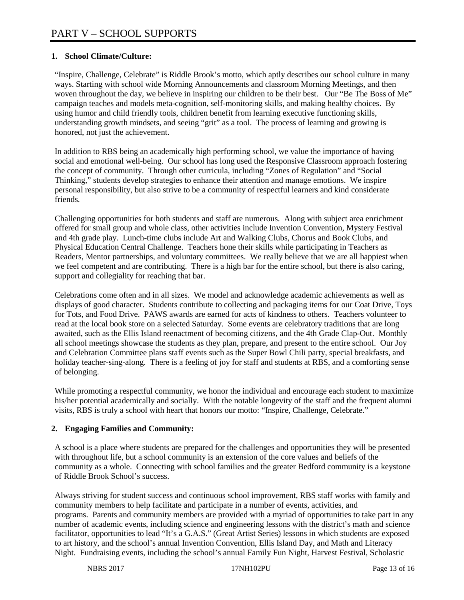# **1. School Climate/Culture:**

"Inspire, Challenge, Celebrate" is Riddle Brook's motto, which aptly describes our school culture in many ways. Starting with school wide Morning Announcements and classroom Morning Meetings, and then woven throughout the day, we believe in inspiring our children to be their best. Our "Be The Boss of Me" campaign teaches and models meta-cognition, self-monitoring skills, and making healthy choices. By using humor and child friendly tools, children benefit from learning executive functioning skills, understanding growth mindsets, and seeing "grit" as a tool. The process of learning and growing is honored, not just the achievement.

In addition to RBS being an academically high performing school, we value the importance of having social and emotional well-being. Our school has long used the Responsive Classroom approach fostering the concept of community. Through other curricula, including "Zones of Regulation" and "Social Thinking," students develop strategies to enhance their attention and manage emotions. We inspire personal responsibility, but also strive to be a community of respectful learners and kind considerate friends.

Challenging opportunities for both students and staff are numerous. Along with subject area enrichment offered for small group and whole class, other activities include Invention Convention, Mystery Festival and 4th grade play. Lunch-time clubs include Art and Walking Clubs, Chorus and Book Clubs, and Physical Education Central Challenge. Teachers hone their skills while participating in Teachers as Readers, Mentor partnerships, and voluntary committees. We really believe that we are all happiest when we feel competent and are contributing. There is a high bar for the entire school, but there is also caring, support and collegiality for reaching that bar.

Celebrations come often and in all sizes. We model and acknowledge academic achievements as well as displays of good character. Students contribute to collecting and packaging items for our Coat Drive, Toys for Tots, and Food Drive. PAWS awards are earned for acts of kindness to others. Teachers volunteer to read at the local book store on a selected Saturday. Some events are celebratory traditions that are long awaited, such as the Ellis Island reenactment of becoming citizens, and the 4th Grade Clap-Out. Monthly all school meetings showcase the students as they plan, prepare, and present to the entire school. Our Joy and Celebration Committee plans staff events such as the Super Bowl Chili party, special breakfasts, and holiday teacher-sing-along. There is a feeling of joy for staff and students at RBS, and a comforting sense of belonging.

While promoting a respectful community, we honor the individual and encourage each student to maximize his/her potential academically and socially. With the notable longevity of the staff and the frequent alumni visits, RBS is truly a school with heart that honors our motto: "Inspire, Challenge, Celebrate."

# **2. Engaging Families and Community:**

A school is a place where students are prepared for the challenges and opportunities they will be presented with throughout life, but a school community is an extension of the core values and beliefs of the community as a whole. Connecting with school families and the greater Bedford community is a keystone of Riddle Brook School's success.

Always striving for student success and continuous school improvement, RBS staff works with family and community members to help facilitate and participate in a number of events, activities, and programs. Parents and community members are provided with a myriad of opportunities to take part in any number of academic events, including science and engineering lessons with the district's math and science facilitator, opportunities to lead "It's a G.A.S." (Great Artist Series) lessons in which students are exposed to art history, and the school's annual Invention Convention, Ellis Island Day, and Math and Literacy Night. Fundraising events, including the school's annual Family Fun Night, Harvest Festival, Scholastic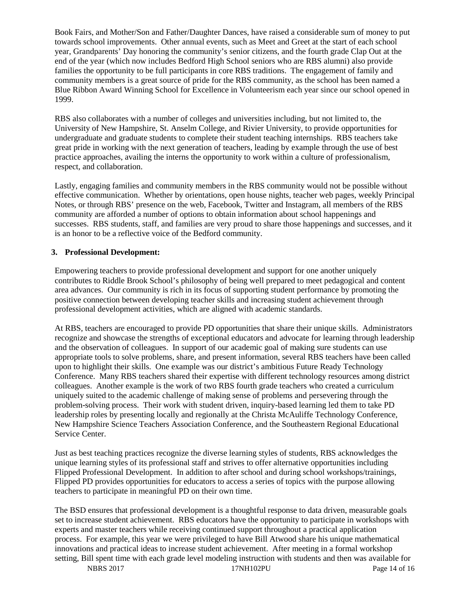Book Fairs, and Mother/Son and Father/Daughter Dances, have raised a considerable sum of money to put towards school improvements. Other annual events, such as Meet and Greet at the start of each school year, Grandparents' Day honoring the community's senior citizens, and the fourth grade Clap Out at the end of the year (which now includes Bedford High School seniors who are RBS alumni) also provide families the opportunity to be full participants in core RBS traditions. The engagement of family and community members is a great source of pride for the RBS community, as the school has been named a Blue Ribbon Award Winning School for Excellence in Volunteerism each year since our school opened in 1999.

RBS also collaborates with a number of colleges and universities including, but not limited to, the University of New Hampshire, St. Anselm College, and Rivier University, to provide opportunities for undergraduate and graduate students to complete their student teaching internships. RBS teachers take great pride in working with the next generation of teachers, leading by example through the use of best practice approaches, availing the interns the opportunity to work within a culture of professionalism, respect, and collaboration.

Lastly, engaging families and community members in the RBS community would not be possible without effective communication. Whether by orientations, open house nights, teacher web pages, weekly Principal Notes, or through RBS' presence on the web, Facebook, Twitter and Instagram, all members of the RBS community are afforded a number of options to obtain information about school happenings and successes. RBS students, staff, and families are very proud to share those happenings and successes, and it is an honor to be a reflective voice of the Bedford community.

## **3. Professional Development:**

Empowering teachers to provide professional development and support for one another uniquely contributes to Riddle Brook School's philosophy of being well prepared to meet pedagogical and content area advances. Our community is rich in its focus of supporting student performance by promoting the positive connection between developing teacher skills and increasing student achievement through professional development activities, which are aligned with academic standards.

At RBS, teachers are encouraged to provide PD opportunities that share their unique skills. Administrators recognize and showcase the strengths of exceptional educators and advocate for learning through leadership and the observation of colleagues. In support of our academic goal of making sure students can use appropriate tools to solve problems, share, and present information, several RBS teachers have been called upon to highlight their skills. One example was our district's ambitious Future Ready Technology Conference. Many RBS teachers shared their expertise with different technology resources among district colleagues. Another example is the work of two RBS fourth grade teachers who created a curriculum uniquely suited to the academic challenge of making sense of problems and persevering through the problem-solving process. Their work with student driven, inquiry-based learning led them to take PD leadership roles by presenting locally and regionally at the Christa McAuliffe Technology Conference, New Hampshire Science Teachers Association Conference, and the Southeastern Regional Educational Service Center.

Just as best teaching practices recognize the diverse learning styles of students, RBS acknowledges the unique learning styles of its professional staff and strives to offer alternative opportunities including Flipped Professional Development. In addition to after school and during school workshops/trainings, Flipped PD provides opportunities for educators to access a series of topics with the purpose allowing teachers to participate in meaningful PD on their own time.

The BSD ensures that professional development is a thoughtful response to data driven, measurable goals set to increase student achievement. RBS educators have the opportunity to participate in workshops with experts and master teachers while receiving continued support throughout a practical application process. For example, this year we were privileged to have Bill Atwood share his unique mathematical innovations and practical ideas to increase student achievement. After meeting in a formal workshop setting, Bill spent time with each grade level modeling instruction with students and then was available for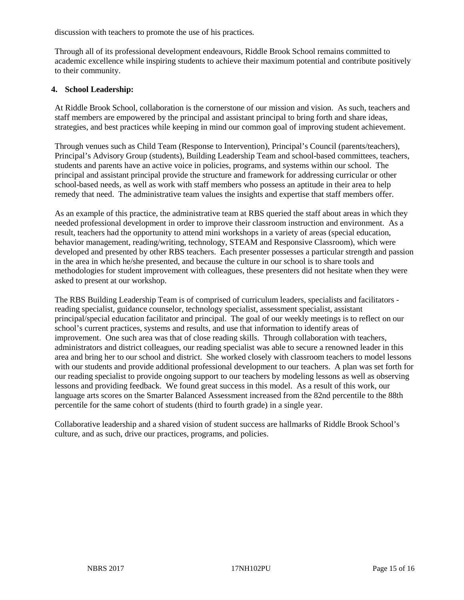discussion with teachers to promote the use of his practices.

Through all of its professional development endeavours, Riddle Brook School remains committed to academic excellence while inspiring students to achieve their maximum potential and contribute positively to their community.

#### **4. School Leadership:**

At Riddle Brook School, collaboration is the cornerstone of our mission and vision. As such, teachers and staff members are empowered by the principal and assistant principal to bring forth and share ideas, strategies, and best practices while keeping in mind our common goal of improving student achievement.

Through venues such as Child Team (Response to Intervention), Principal's Council (parents/teachers), Principal's Advisory Group (students), Building Leadership Team and school-based committees, teachers, students and parents have an active voice in policies, programs, and systems within our school. The principal and assistant principal provide the structure and framework for addressing curricular or other school-based needs, as well as work with staff members who possess an aptitude in their area to help remedy that need. The administrative team values the insights and expertise that staff members offer.

As an example of this practice, the administrative team at RBS queried the staff about areas in which they needed professional development in order to improve their classroom instruction and environment. As a result, teachers had the opportunity to attend mini workshops in a variety of areas (special education, behavior management, reading/writing, technology, STEAM and Responsive Classroom), which were developed and presented by other RBS teachers. Each presenter possesses a particular strength and passion in the area in which he/she presented, and because the culture in our school is to share tools and methodologies for student improvement with colleagues, these presenters did not hesitate when they were asked to present at our workshop.

The RBS Building Leadership Team is of comprised of curriculum leaders, specialists and facilitators reading specialist, guidance counselor, technology specialist, assessment specialist, assistant principal/special education facilitator and principal. The goal of our weekly meetings is to reflect on our school's current practices, systems and results, and use that information to identify areas of improvement. One such area was that of close reading skills. Through collaboration with teachers, administrators and district colleagues, our reading specialist was able to secure a renowned leader in this area and bring her to our school and district. She worked closely with classroom teachers to model lessons with our students and provide additional professional development to our teachers. A plan was set forth for our reading specialist to provide ongoing support to our teachers by modeling lessons as well as observing lessons and providing feedback. We found great success in this model. As a result of this work, our language arts scores on the Smarter Balanced Assessment increased from the 82nd percentile to the 88th percentile for the same cohort of students (third to fourth grade) in a single year.

Collaborative leadership and a shared vision of student success are hallmarks of Riddle Brook School's culture, and as such, drive our practices, programs, and policies.